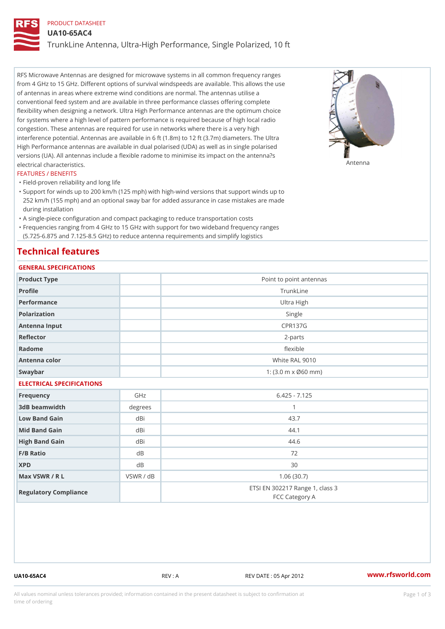### PRODUCT DATASHEET

UA10-65AC4

TrunkLine Antenna, Ultra-High Performance, Single Polarized, 10 ft

RFS Microwave Antennas are designed for microwave systems in all common frequency ranges from 4 GHz to 15 GHz. Different options of survival windspeeds are available. This allows the use of antennas in areas where extreme wind conditions are normal. The antennas utilise a conventional feed system and are available in three performance classes offering complete flexibility when designing a network. Ultra High Performance antennas are the optimum choice for systems where a high level of pattern performance is required because of high local radio congestion. These antennas are required for use in networks where there is a very high interference potential. Antennas are available in 6 ft (1.8m) to 12 ft (3.7m) diameters. The Ultra High Performance antennas are available in dual polarised (UDA) as well as in single polarised versions (UA). All antennas include a flexible radome to minimise its impact on the antenna?s electrical characteristics. Antenna

### FEATURES / BENEFITS

"Field-proven reliability and long life

- Support for winds up to 200 km/h (125 mph) with high-wind versions that support winds up to " 252 km/h (155 mph) and an optional sway bar for added assurance in case mistakes are made during installation
- "A single-piece configuration and compact packaging to reduce transportation costs
- Frequencies ranging from 4 GHz to 15 GHz with support for two wideband frequency ranges "
- (5.725-6.875 and 7.125-8.5 GHz) to reduce antenna requirements and simplify logistics

### Technical features

## GENERAL SPECIFICATIONS

| OLIVERAL OF LOTITUATIONS  |           |                                                         |  |  |  |  |  |
|---------------------------|-----------|---------------------------------------------------------|--|--|--|--|--|
| Product Type              |           | Point to point antennas                                 |  |  |  |  |  |
| Profile                   |           | TrunkLine                                               |  |  |  |  |  |
| Performance               |           | Ultra High                                              |  |  |  |  |  |
| Polarization              |           | Single                                                  |  |  |  |  |  |
| Antenna Input             |           | <b>CPR137G</b>                                          |  |  |  |  |  |
| Reflector                 |           | $2 - p$ arts                                            |  |  |  |  |  |
| Radome                    |           | flexible                                                |  |  |  |  |  |
| Antenna color             |           | White RAL 9010                                          |  |  |  |  |  |
| Swaybar                   |           | 1: $(3.0 \, \text{m} \times \emptyset 60 \, \text{mm})$ |  |  |  |  |  |
| ELECTRICAL SPECIFICATIONS |           |                                                         |  |  |  |  |  |
| Frequency                 | GHz       | $6.425 - 7.125$                                         |  |  |  |  |  |
| 3dB beamwidth             | degrees   | $\mathbf{1}$                                            |  |  |  |  |  |
| Low Band Gain             | dBi       | 43.7                                                    |  |  |  |  |  |
| Mid Band Gain             | dBi       | 44.1                                                    |  |  |  |  |  |
| High Band Gain            | dBi       | 44.6                                                    |  |  |  |  |  |
| F/B Ratio                 | $d$ B     | 72                                                      |  |  |  |  |  |
| <b>XPD</b>                | d B       | 30                                                      |  |  |  |  |  |
| Max VSWR / R L            | VSWR / dB | 1.06(30.7)                                              |  |  |  |  |  |
| Regulatory Compliance     |           | ETSI EN 302217 Range 1, class 3<br>FCC Category A       |  |  |  |  |  |

UA10-65AC4 REV : A REV DATE : 05 Apr 2012 [www.](https://www.rfsworld.com)rfsworld.com

All values nominal unless tolerances provided; information contained in the present datasheet is subject to Pcapgeign mation time of ordering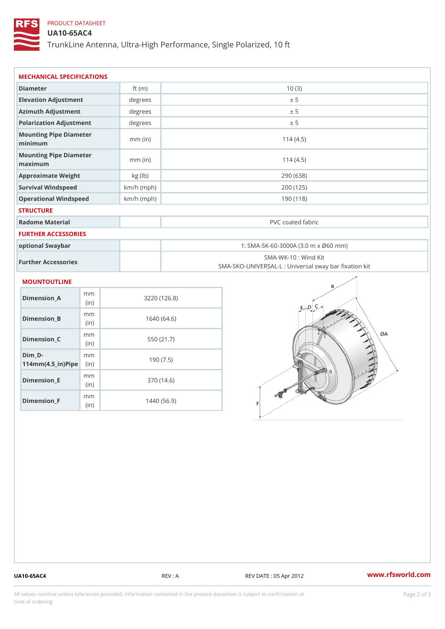# PRODUCT DATASHEET

(in)

m<sub>m</sub> (in)

Dimension\_F

### UA10-65AC4

TrunkLine Antenna, Ultra-High Performance, Single Polarized, 10 ft

| MECHANICAL SPECIFICATIONS                                                       |      |              |                   |                                                                          |  |
|---------------------------------------------------------------------------------|------|--------------|-------------------|--------------------------------------------------------------------------|--|
| Diameter                                                                        |      | ft $(m)$     |                   | 10(3)                                                                    |  |
| Elevation Adjustment                                                            |      | degrees      |                   | ± 5                                                                      |  |
| Azimuth Adjustment                                                              |      | degrees      | ± 5               |                                                                          |  |
| Polarization Adjustment                                                         |      | degrees      | ± 5               |                                                                          |  |
| Mounting Pipe Diameter<br>minimum                                               |      | $mm$ (in)    | 114(4.5)          |                                                                          |  |
| Mounting Pipe Diameter<br>maximum                                               |      | $mm$ (in)    |                   | 114(4.5)                                                                 |  |
| Approximate Weight                                                              |      | kg (lb)      |                   | 290 (638)                                                                |  |
| Survival Windspeed                                                              |      | $km/h$ (mph) |                   | 200 (125)                                                                |  |
| Operational Windspeed                                                           |      | $km/h$ (mph) | 190 (118)         |                                                                          |  |
| <b>STRUCTURE</b>                                                                |      |              |                   |                                                                          |  |
| Radome Material                                                                 |      |              | PVC coated fabric |                                                                          |  |
| FURTHER ACCESSORIES                                                             |      |              |                   |                                                                          |  |
| optional Swaybar                                                                |      |              |                   | 1: SMA-SK-60-3000A (3.0 m x Ø60 mm)                                      |  |
| Further Accessories                                                             |      |              |                   | SMA-WK-10: Wind Kit<br>SMA-SKO-UNIVERSAL-L : Universal sway bar fixation |  |
| <b>MOUNTOUTLINE</b>                                                             |      |              |                   |                                                                          |  |
| m m<br>$Dimension_A$                                                            | (in) |              | 3220(126.8)       |                                                                          |  |
| m m<br>$Dimen sion_B$                                                           | (in) |              | 1640(64.6)        |                                                                          |  |
| m m<br>Dimension_C                                                              | (in) | 550 (21.7)   |                   |                                                                          |  |
| $Dim_$ -<br>m <sub>m</sub><br>$114$ m m (4.5 _ ir ) $\sqrt{$ im $\cdot$ $\cdot$ |      | 190(7.5)     |                   |                                                                          |  |
| m m<br>$Dimension$ = E                                                          |      |              | 370 (14.6)        |                                                                          |  |

1440 (56.9)

UA10-65AC4 REV : A REV DATE : 05 Apr 2012 [www.](https://www.rfsworld.com)rfsworld.com